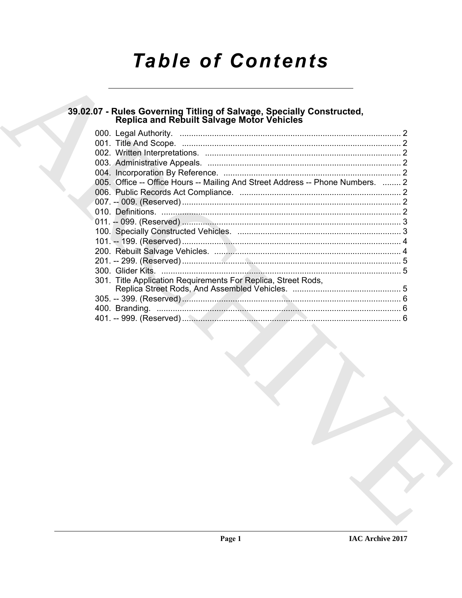# **Table of Contents**

## 39.02.07 - Rules Governing Titling of Salvage, Specially Constructed,<br>Replica and Rebuilt Salvage Motor Vehicles

| 005. Office -- Office Hours -- Mailing And Street Address -- Phone Numbers.  2 |  |
|--------------------------------------------------------------------------------|--|
|                                                                                |  |
|                                                                                |  |
|                                                                                |  |
|                                                                                |  |
|                                                                                |  |
|                                                                                |  |
|                                                                                |  |
|                                                                                |  |
|                                                                                |  |
| 301. Title Application Requirements For Replica, Street Rods,                  |  |
|                                                                                |  |
|                                                                                |  |
|                                                                                |  |
|                                                                                |  |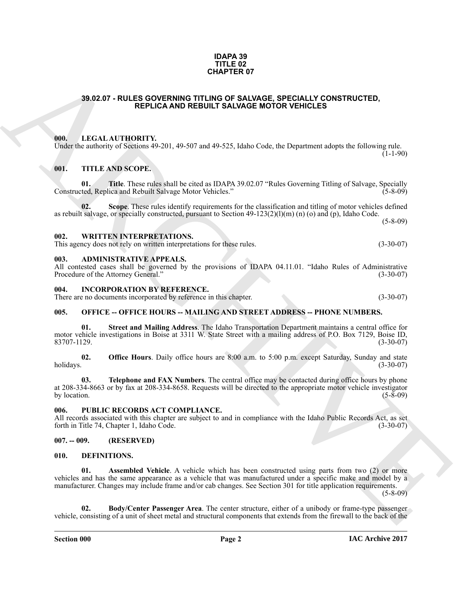#### **IDAPA 39 TITLE 02 CHAPTER 07**

#### <span id="page-1-0"></span>**39.02.07 - RULES GOVERNING TITLING OF SALVAGE, SPECIALLY CONSTRUCTED, REPLICA AND REBUILT SALVAGE MOTOR VEHICLES**

#### <span id="page-1-1"></span>**000. LEGAL AUTHORITY.**

Under the authority of Sections 49-201, 49-507 and 49-525, Idaho Code, the Department adopts the following rule.  $(1-1-90)$ 

#### <span id="page-1-2"></span>**001. TITLE AND SCOPE.**

**01. Title**. These rules shall be cited as IDAPA 39.02.07 "Rules Governing Titling of Salvage, Specially ted, Replica and Rebuilt Salvage Motor Vehicles." (5-8-09) Constructed, Replica and Rebuilt Salvage Motor Vehicles."

Scope. These rules identify requirements for the classification and titling of motor vehicles defined as rebuilt salvage, or specially constructed, pursuant to Section 49-123(2)(l)(m) (n) (o) and (p), Idaho Code. (5-8-09)

#### <span id="page-1-3"></span>**002. WRITTEN INTERPRETATIONS.**

This agency does not rely on written interpretations for these rules. (3-30-07)

#### <span id="page-1-4"></span>**003. ADMINISTRATIVE APPEALS.**

All contested cases shall be governed by the provisions of IDAPA 04.11.01. "Idaho Rules of Administrative Procedure of the Attorney General." (3-30-07)

#### <span id="page-1-5"></span>**004. INCORPORATION BY REFERENCE.**

There are no documents incorporated by reference in this chapter. (3-30-07)

#### <span id="page-1-6"></span>**005. OFFICE -- OFFICE HOURS -- MAILING AND STREET ADDRESS -- PHONE NUMBERS.**

**01. Street and Mailing Address**. The Idaho Transportation Department maintains a central office for motor vehicle investigations in Boise at 3311 W. State Street with a mailing address of P.O. Box 7129, Boise ID, 83707-1129. (3-30-07)

**02. Office Hours**. Daily office hours are 8:00 a.m. to 5:00 p.m. except Saturday, Sunday and state holidays. (3-30-07) holidays. (3-30-07)

**Telephone and FAX Numbers**. The central office may be contacted during office hours by phone at 208-334-8663 or by fax at 208-334-8658. Requests will be directed to the appropriate motor vehicle investigator by location.  $(5-8-09)$ 

#### <span id="page-1-7"></span>**006. PUBLIC RECORDS ACT COMPLIANCE.**

All records associated with this chapter are subject to and in compliance with the Idaho Public Records Act, as set forth in Title 74, Chapter 1, Idaho Code. (3-30-07)

#### <span id="page-1-8"></span>**007. -- 009. (RESERVED)**

#### <span id="page-1-11"></span><span id="page-1-10"></span><span id="page-1-9"></span>**010. DEFINITIONS.**

**GHAPTER OF**<br> **ARCHIVE SOVERING OTHERWADE SPECIALLY CONSTRUCTED.**<br> **ARCHIVE SOVERING AND REBUILT SALVAGE MOTOR VEHICLES**<br> **ARCHIVE SOVERING AND REBUILT SALVAGE MOTOR VEHICLES**<br> **ARCHIVE SOVERING AND REBUILT SALVAGE MOTOR 01.** Assembled Vehicle. A vehicle which has been constructed using parts from two (2) or more vehicles and has the same appearance as a vehicle that was manufactured under a specific make and model by a manufacturer. Changes may include frame and/or cab changes. See Section 301 for title application requirements.

(5-8-09)

<span id="page-1-12"></span>**02. Body/Center Passenger Area**. The center structure, either of a unibody or frame-type passenger vehicle, consisting of a unit of sheet metal and structural components that extends from the firewall to the back of the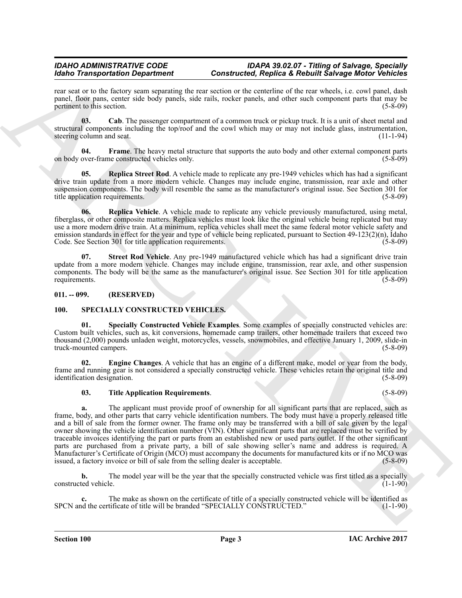#### *IDAHO ADMINISTRATIVE CODE IDAPA 39.02.07 - Titling of Salvage, Specially Constructed, Replica & Rebuilt Salvage Motor Vehicles*

rear seat or to the factory seam separating the rear section or the centerline of the rear wheels, i.e. cowl panel, dash panel, floor pans, center side body panels, side rails, rocker panels, and other such component parts that may be pertinent to this section.

<span id="page-2-2"></span>**03.** Cab. The passenger compartment of a common truck or pickup truck. It is a unit of sheet metal and structural components including the top/roof and the cowl which may or may not include glass, instrumentation, steering column and seat. (11-1-94) steering column and seat.

<span id="page-2-3"></span>**04. Frame**. The heavy metal structure that supports the auto body and other external component parts on body over-frame constructed vehicles only. (5-8-09)

<span id="page-2-4"></span>**Replica Street Rod**. A vehicle made to replicate any pre-1949 vehicles which has had a significant drive train update from a more modern vehicle. Changes may include engine, transmission, rear axle and other suspension components. The body will resemble the same as the manufacturer's original issue. See Section 301 for title application requirements. (5-8-09)

<span id="page-2-6"></span>**06. Replica Vehicle**. A vehicle made to replicate any vehicle previously manufactured, using metal, fiberglass, or other composite matters. Replica vehicles must look like the original vehicle being replicated but may use a more modern drive train. At a minimum, replica vehicles shall meet the same federal motor vehicle safety and emission standards in effect for the year and type of vehicle being replicated, pursuant to Section 49-123(2)(n), Idaho Code. See Section 301 for title application requirements. (5-8-09)

<span id="page-2-5"></span>**07. Street Rod Vehicle**. Any pre-1949 manufactured vehicle which has had a significant drive train update from a more modern vehicle. Changes may include engine, transmission, rear axle, and other suspension components. The body will be the same as the manufacturer's original issue. See Section 301 for title application requirements. (5-8-09)

#### <span id="page-2-0"></span>**011. -- 099. (RESERVED)**

#### <span id="page-2-9"></span><span id="page-2-7"></span><span id="page-2-1"></span>**100. SPECIALLY CONSTRUCTED VEHICLES.**

**01. Specially Constructed Vehicle Examples**. Some examples of specially constructed vehicles are: Custom built vehicles, such as, kit conversions, homemade camp trailers, other homemade trailers that exceed two thousand (2,000) pounds unladen weight, motorcycles, vessels, snowmobiles, and effective January 1, 2009, slide-in truck-mounted campers. (5-8-09) truck-mounted campers.

**02. Engine Changes**. A vehicle that has an engine of a different make, model or year from the body, frame and running gear is not considered a specially constructed vehicle. These vehicles retain the original title and identification designation. (5-8-09)

#### <span id="page-2-10"></span><span id="page-2-8"></span>**03. Title Application Requirements**. (5-8-09)

Moto Transportation Department of Constraints and the plate is Realistic and Realistic and Realistic and Realistic and Real Section 1998 and the state of Constraints and the state of Constraints and the state of Constrain **a.** The applicant must provide proof of ownership for all significant parts that are replaced, such as frame, body, and other parts that carry vehicle identification numbers. The body must have a properly released title and a bill of sale from the former owner. The frame only may be transferred with a bill of sale given by the legal owner showing the vehicle identification number (VIN). Other significant parts that are replaced must be verified by traceable invoices identifying the part or parts from an established new or used parts outlet. If the other significant parts are purchased from a private party, a bill of sale showing seller's name and address is required. A Manufacturer's Certificate of Origin (MCO) must accompany the documents for manufactured kits or if no MCO was issued, a factory invoice or bill of sale from the selling dealer is acceptable. issued, a factory invoice or bill of sale from the selling dealer is acceptable.

**b.** The model year will be the year that the specially constructed vehicle was first titled as a specially ted vehicle. (1-1-90) constructed vehicle.

**c.** The make as shown on the certificate of title of a specially constructed vehicle will be identified as depended "SPECIALLY CONSTRUCTED." (1-1-90) SPCN and the certificate of title will be branded "SPECIALLY CONSTRUCTED."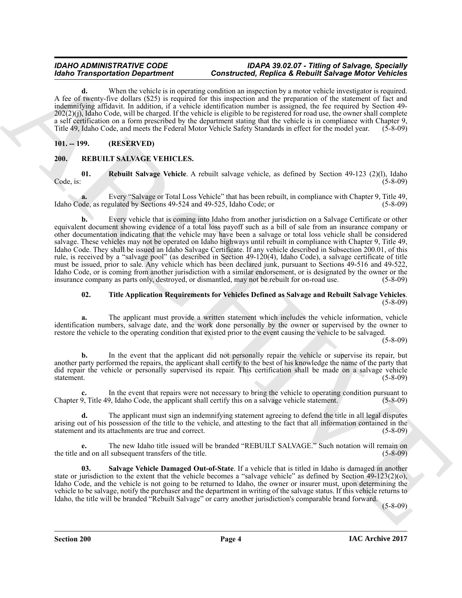#### *IDAHO ADMINISTRATIVE CODE IDAPA 39.02.07 - Titling of Salvage, Specially Constructed, Replica & Rebuilt Salvage Motor Vehicles*

**d.** When the vehicle is in operating condition an inspection by a motor vehicle investigator is required. A fee of twenty-five dollars (\$25) is required for this inspection and the preparation of the statement of fact and indemnifying affidavit. In addition, if a vehicle identification number is assigned, the fee required by Section 49-  $202(2)(i)$ , Idaho Code, will be charged. If the vehicle is eligible to be registered for road use, the owner shall complete a self certification on a form prescribed by the department stating that the vehicle is in compliance with Chapter 9, Title 49, Idaho Code, and meets the Federal Motor Vehicle Safety Standards in effect for the model year. (5-8-09)

#### <span id="page-3-0"></span>**101. -- 199. (RESERVED)**

#### <span id="page-3-3"></span><span id="page-3-2"></span><span id="page-3-1"></span>**200. REBUILT SALVAGE VEHICLES.**

**01.** Rebuilt Salvage Vehicle. A rebuilt salvage vehicle, as defined by Section 49-123 (2)(l), Idaho Code, is: (5-8-09)  $\text{Code, is:}$  (5-8-09)

**a.** Every "Salvage or Total Loss Vehicle" that has been rebuilt, in compliance with Chapter 9, Title 49, Idaho Code, as regulated by Sections 49-524 and 49-525, Idaho Code; or

**Example of the system of Construction Constraints of Application and the proposition of the system of the system of the system of the system of the system of the system of the system of the system of the system of the s b.** Every vehicle that is coming into Idaho from another jurisdiction on a Salvage Certificate or other equivalent document showing evidence of a total loss payoff such as a bill of sale from an insurance company or other documentation indicating that the vehicle may have been a salvage or total loss vehicle shall be considered salvage. These vehicles may not be operated on Idaho highways until rebuilt in compliance with Chapter 9, Title 49, Idaho Code. They shall be issued an Idaho Salvage Certificate. If any vehicle described in Subsection 200.01, of this rule, is received by a "salvage pool" (as described in Section 49-120(4), Idaho Code), a salvage certificate of title must be issued, prior to sale. Any vehicle which has been declared junk, pursuant to Sections 49-516 and 49-522, Idaho Code, or is coming from another jurisdiction with a similar endorsement, or is designated by the owner or the insurance company as parts only, destroyed, or dismantled, may not be rebuilt for on-road use. (5-8-09) insurance company as parts only, destroyed, or dismantled, may not be rebuilt for on-road use.

## <span id="page-3-5"></span>**02. Title Application Requirements for Vehicles Defined as Salvage and Rebuilt Salvage Vehicles**. (5-8-09)

**a.** The applicant must provide a written statement which includes the vehicle information, vehicle identification numbers, salvage date, and the work done personally by the owner or supervised by the owner to restore the vehicle to the operating condition that existed prior to the event causing the vehicle to be salvaged.

(5-8-09)

**b.** In the event that the applicant did not personally repair the vehicle or supervise its repair, but another party performed the repairs, the applicant shall certify to the best of his knowledge the name of the party that did repair the vehicle or personally supervised its repair. This certification shall be made on a salvage vehicle statement. (5-8-09)

**c.** In the event that repairs were not necessary to bring the vehicle to operating condition pursuant to Chapter 9, Title 49, Idaho Code, the applicant shall certify this on a salvage vehicle statement. (5-8-09)

**d.** The applicant must sign an indemnifying statement agreeing to defend the title in all legal disputes arising out of his possession of the title to the vehicle, and attesting to the fact that all information contained in the statement and its attachments are true and correct. (5-8-09) statement and its attachments are true and correct.

**e.** The new Idaho title issued will be branded "REBUILT SALVAGE." Such notation will remain on the title and on all subsequent transfers of the title. (5-8-09)

<span id="page-3-4"></span>**03. Salvage Vehicle Damaged Out-of-State**. If a vehicle that is titled in Idaho is damaged in another state or jurisdiction to the extent that the vehicle becomes a "salvage vehicle" as defined by Section 49-123(2)(o), Idaho Code, and the vehicle is not going to be returned to Idaho, the owner or insurer must, upon determining the vehicle to be salvage, notify the purchaser and the department in writing of the salvage status. If this vehicle returns to Idaho, the title will be branded "Rebuilt Salvage" or carry another jurisdiction's comparable brand forward.

(5-8-09)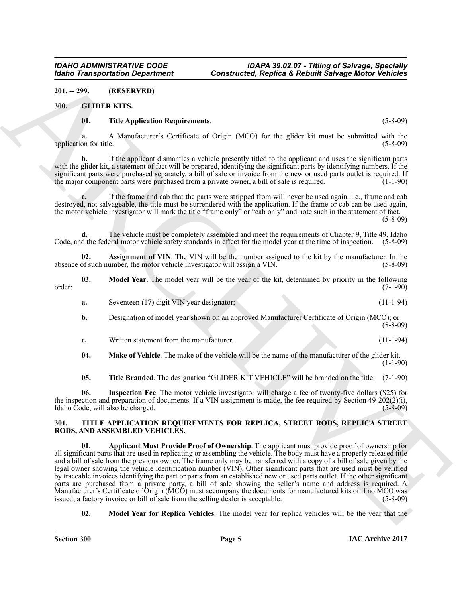<span id="page-4-0"></span>**201. -- 299. (RESERVED)**

#### <span id="page-4-1"></span>**300. GLIDER KITS.**

#### <span id="page-4-8"></span><span id="page-4-3"></span>**01. Title Application Requirements**. (5-8-09)

**a.** A Manufacturer's Certificate of Origin (MCO) for the glider kit must be submitted with the application for title. (5-8-09)

**b.** If the applicant dismantles a vehicle presently titled to the applicant and uses the significant parts with the glider kit, a statement of fact will be prepared, identifying the significant parts by identifying numbers. If the significant parts were purchased separately, a bill of sale or invoice from the new or used parts outlet is required. If<br>the major component parts were purchased from a private owner, a bill of sale is required. (1-1-90) the major component parts were purchased from a private owner, a bill of sale is required.

**c.** If the frame and cab that the parts were stripped from will never be used again, i.e., frame and cab destroyed, not salvageable, the title must be surrendered with the application. If the frame or cab can be used again, the motor vehicle investigator will mark the title "frame only" or "cab only" and note such in the statement of fact.

(5-8-09)

**d.** The vehicle must be completely assembled and meet the requirements of Chapter 9, Title 49, Idaho Code, and the federal motor vehicle safety standards in effect for the model year at the time of inspection. (5-8-09)

<span id="page-4-4"></span>**02.** Assignment of VIN. The VIN will be the number assigned to the kit by the manufacturer. In the of such number, the motor vehicle investigator will assign a VIN. (5-8-09) absence of such number, the motor vehicle investigator will assign a VIN.

**03. Model Year**. The model year will be the year of the kit, determined by priority in the following (7-1-90) order: (7-1-90)

<span id="page-4-7"></span>**a.** Seventeen (17) digit VIN year designator; (11-1-94)

**b.** Designation of model year shown on an approved Manufacturer Certificate of Origin (MCO); or  $(5 - 8 - 09)$ 

**c.** Written statement from the manufacturer. (11-1-94)

<span id="page-4-6"></span>**04. Make of Vehicle**. The make of the vehicle will be the name of the manufacturer of the glider kit.  $(1-1-90)$ 

<span id="page-4-9"></span><span id="page-4-5"></span>**05. Title Branded**. The designation "GLIDER KIT VEHICLE" will be branded on the title. (7-1-90)

**06. Inspection Fee**. The motor vehicle investigator will charge a fee of twenty-five dollars (\$25) for the inspection and preparation of documents. If a VIN assignment is made, the fee required by Section 49-202(2)(i), Idaho Code, will also be charged. (5-8-09)

#### <span id="page-4-11"></span><span id="page-4-10"></span><span id="page-4-2"></span>**301. TITLE APPLICATION REQUIREMENTS FOR REPLICA, STREET RODS, REPLICA STREET RODS, AND ASSEMBLED VEHICLES.**

Globe Transportation Department<br>
20. State 19. Constructed, Replica Resident Subseque Wallet Subseque Mathematics<br>
20. State 19. State 19. State 19. State 19. State 19. State 19. State 19. State 19. State 19. State 19. St **01. Applicant Must Provide Proof of Ownership**. The applicant must provide proof of ownership for all significant parts that are used in replicating or assembling the vehicle. The body must have a properly released title and a bill of sale from the previous owner. The frame only may be transferred with a copy of a bill of sale given by the legal owner showing the vehicle identification number (VIN). Other significant parts that are used must be verified by traceable invoices identifying the part or parts from an established new or used parts outlet. If the other significant parts are purchased from a private party, a bill of sale showing the seller's name and address is required. A Manufacturer's Certificate of Origin (MCO) must accompany the documents for manufactured kits or if no MCO was issued. a factory invoice or bill of sale from the selling dealer is acceptable. issued, a factory invoice or bill of sale from the selling dealer is acceptable.

<span id="page-4-12"></span>**02.** Model Year for Replica Vehicles. The model year for replica vehicles will be the year that the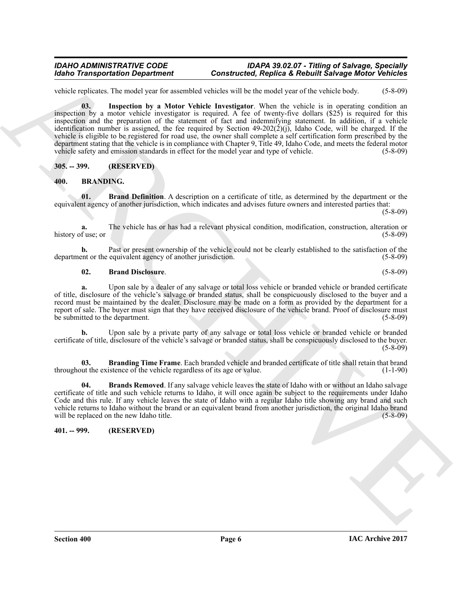#### *IDAHO ADMINISTRATIVE CODE IDAPA 39.02.07 - Titling of Salvage, Specially Constructed, Replica & Rebuilt Salvage Motor Vehicles*

<span id="page-5-8"></span>vehicle replicates. The model year for assembled vehicles will be the model year of the vehicle body. (5-8-09)

Monito Transportation Department<br>
Constructed. Regulate School of the local constructed in the space of Reduction Anti-<br>
School of the material of the space of the space of the space of the construction of the space of th **03. Inspection by a Motor Vehicle Investigator**. When the vehicle is in operating condition an inspection by a motor vehicle investigator is required. A fee of twenty-five dollars (\$25) is required for this inspection and the preparation of the statement of fact and indemnifying statement. In addition, if a vehicle identification number is assigned, the fee required by Section 49-202(2)(j), Idaho Code, will be charged. If the vehicle is eligible to be registered for road use, the owner shall complete a self certification form prescribed by the department stating that the vehicle is in compliance with Chapter 9, Title 49, Idaho Code, and meets the federal motor vehicle safety and emission standards in effect for the model year and type of vehicle. (5-8-09)

<span id="page-5-0"></span>**305. -- 399. (RESERVED)**

#### <span id="page-5-4"></span><span id="page-5-3"></span><span id="page-5-1"></span>**400. BRANDING.**

**01. Brand Definition**. A description on a certificate of title, as determined by the department or the equivalent agency of another jurisdiction, which indicates and advises future owners and interested parties that:

(5-8-09)

**a.** The vehicle has or has had a relevant physical condition, modification, construction, alteration or fuse: or (5-8-09) history of use; or

**b.** Past or present ownership of the vehicle could not be clearly established to the satisfaction of the equivalent agency of another jurisdiction. (5-8-09) department or the equivalent agency of another jurisdiction.

#### <span id="page-5-5"></span>**02. Brand Disclosure**. (5-8-09)

**a.** Upon sale by a dealer of any salvage or total loss vehicle or branded vehicle or branded certificate of title, disclosure of the vehicle's salvage or branded status, shall be conspicuously disclosed to the buyer and a record must be maintained by the dealer. Disclosure may be made on a form as provided by the department for a report of sale. The buyer must sign that they have received disclosure of the vehicle brand. Proof of disclosure must<br>be submitted to the department. (5-8-09) be submitted to the department.

**b.** Upon sale by a private party of any salvage or total loss vehicle or branded vehicle or branded certificate of title, disclosure of the vehicle's salvage or branded status, shall be conspicuously disclosed to the buyer.  $(5-8-09)$ 

<span id="page-5-6"></span>**03. Branding Time Frame**. Each branded vehicle and branded certificate of title shall retain that brand ut the existence of the vehicle regardless of its age or value. (1-1-90) throughout the existence of the vehicle regardless of its age or value.

<span id="page-5-7"></span>**04. Brands Removed**. If any salvage vehicle leaves the state of Idaho with or without an Idaho salvage certificate of title and such vehicle returns to Idaho, it will once again be subject to the requirements under Idaho Code and this rule. If any vehicle leaves the state of Idaho with a regular Idaho title showing any brand and such vehicle returns to Idaho without the brand or an equivalent brand from another jurisdiction, the original Idaho brand will be replaced on the new Idaho title.

#### <span id="page-5-2"></span>**401. -- 999. (RESERVED)**